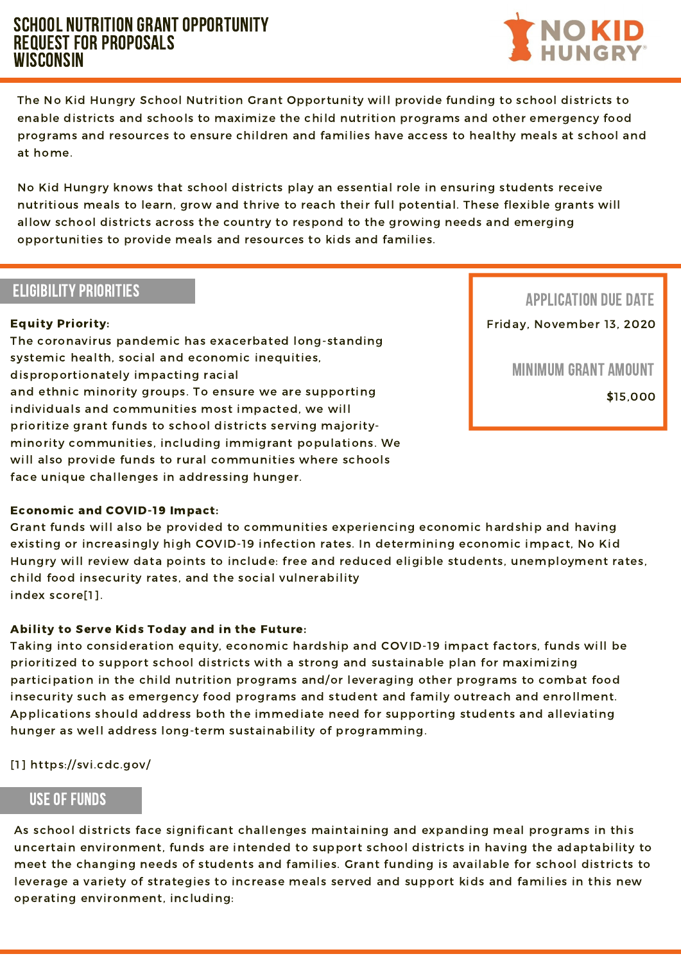## SCHOOL NUTRITION GRANT OPPORTUNITY Request for Proposals **WISCONSIN**



The No Kid Hungry School Nutrition Grant Opportunity will provide funding to school districts to enable districts and schools to maximize the child nutrition programs and other emergency food programs and resources to ensure children and families have access to healthy meals at school and at home.

No Kid Hungry knows that school districts play an essential role in ensuring students receive nutritious meals to learn, grow and thrive to reach their full potential. These flexible grants will allow school districts across the country to respond to the growing needs and emerging opportunities to provide meals and resources to kids and families.

## **ELIGIBILITY PRIORITIES**

will also provide funds to rural communities where schools The coronavirus pandemic has exacerbated long-standing systemic health, social and economic inequities, disproportionately impacting racial and ethnic minority groups. To ensure we are supporting individuals and communities most impacted, we will prioritize grant funds to school districts serving majorityminority communities, including immigrant populations. We face unique challenges in addressing hunger.



### Equity Priority:

#### Economic and COVID-19 Impact:

Grant funds will also be provided to communities experiencing economic hardship and having existing or increasingly high COVID-19 infection rates. In determining economic impact, No Kid Hungry will review data points to include: free and reduced eligible students, unemployment rates, child food insecurity rates, and the social vulnerability index score[1].

### Ability to Serve Kids Today and in the Future:

Taking into consideration equity, economic hardship and COVID-19 impact factors, funds will be prioritized to support school districts with a strong and sustainable plan for maximizing participation in the child nutrition programs and/or leveraging other programs to combat food insecurity such as emergency food programs and student and family outreach and enrollment. Applications should address both the immediate need for supporting students and alleviating hunger as well address long-term sustainability of programming.

[1] https://svi.cdc.gov/

As school districts face significant challenges maintaining and expanding meal programs in this uncertain environment, funds are intended to support school districts in having the adaptability to meet the changing needs of students and families. Grant funding is available for school districts to leverage a variety of strategies to increase meals served and support kids and families in this new operating environment, including:

## useof funds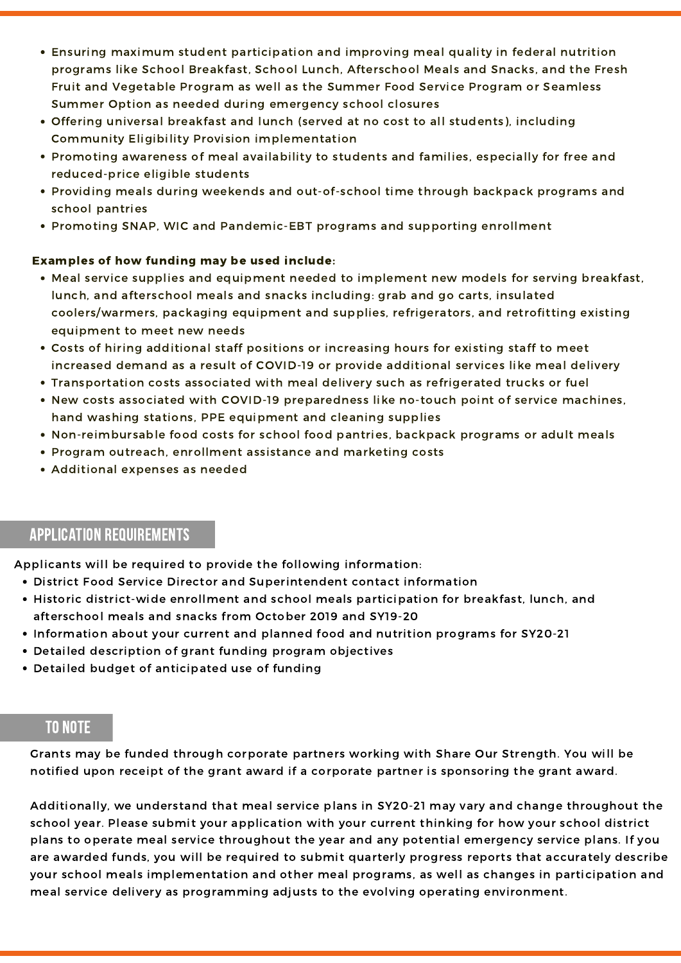- Meal service supplies and equipment needed to implement new models for serving breakfast, lunch, and afterschool meals and snacks including: grab and go carts, insulated coolers/warmers, packaging equipment and supplies, refrigerators, and retrofitting existing equipment to meet new needs
- Costs of hiring additional staff positions or increasing hours for existing staff to meet increased demand as a result of COVID-19 or provide additional services like meal delivery
- Transportation costs associated with meal delivery such as refrigerated trucks or fuel
- New costs associated with COVID-19 preparedness like no-touch point of service machines, hand washing stations, PPE equipment and cleaning supplies
- Non-reimbursable food costs for school food pantries, backpack programs or adult meals
- Program outreach, enrollment assistance and marketing costs
- Additional expenses as needed
- Ensuring maximum student participation and improving meal quality in federal nutrition programs like School Breakfast, School Lunch, Afterschool Meals and Snacks, and the Fresh Fruit and Vegetable Program as well as the Summer Food Service Program or Seamless Summer Option as needed during emergency school closures
- Offering universal breakfast and lunch (served at no cost to all students), including Community Eligibility Provision implementation
- Promoting awareness of meal availability to students and families, especially for free and reduced-price eligible students
- Providing meals during weekends and out-of-school time through backpack programs and school pantries
- Promoting SNAP, WIC and Pandemic-EBT programs and supporting enrollment

#### Examples of how funding may be used include:

- District Food Service Director and Superintendent contact information
- Historic district-wide enrollment and school meals participation for breakfast, lunch, and afterschool meals and snacks from October 2019 and SY19-20
- Information about your current and planned food and nutrition programs for SY20-21
- Detailed description of grant funding program objectives
- Detailed budget of anticipated use of funding

Applicants will be required to provide the following information:

## APPLICATION REQUIREMENTS

# TO NOTE

Grants may be funded through corporate partners working with Share Our Strength. You will be notified upon receipt of the grant award if a corporate partner is sponsoring the grant award.

Additionally, we understand that meal service plans in SY20-21 may vary and change throughout the school year. Please submit your application with your current thinking for how your school district plans to operate meal service throughout the year and any potential emergency service plans. If you are awarded funds, you will be required to submit quarterly progress reports that accurately describe your school meals implementation and other meal programs, as well as changes in participation and meal service delivery as programming adjusts to the evolving operating environment.